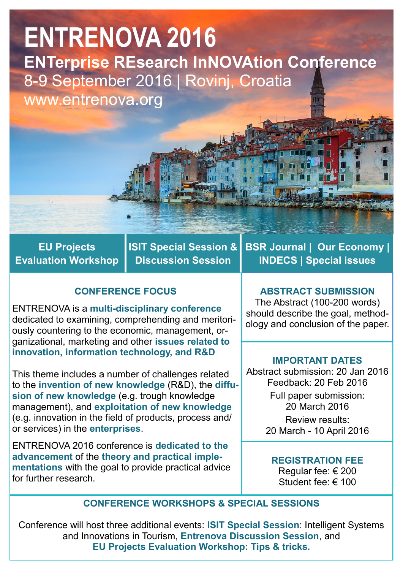# **ENTRENOVA 2016 ENTerprise REsearch InNOVAtion Conference** 8-9 September 2016 | Rovinj, Croatia www.entrenova.org

**EU Projects Evaluation Workshop** **ISIT Special Session & Discussion Session**

# **CONFERENCE FOCUS**

ENTRENOVA is a **multi-disciplinary conference**  dedicated to examining, comprehending and meritoriously countering to the economic, management, organizational, marketing and other **issues related to innovation, information technology, and R&D**.

This theme includes a number of challenges related to the **invention of new knowledge** (R&D), the **diffusion of new knowledge** (e.g. trough knowledge management), and **exploitation of new knowledge**  (e.g. innovation in the field of products, process and/ or services) in the **enterprises**.

ENTRENOVA 2016 conference is **dedicated to the advancement** of the **theory and practical implementations** with the goal to provide practical advice for further research.

**BSR Journal | Our Economy | INDECS | Special issues**

#### **ABSTRACT SUBMISSION**

The Abstract (100-200 words) should describe the goal, methodology and conclusion of the paper.

#### **IMPORTANT DATES**

Abstract submission: 20 Jan 2016 Feedback: 20 Feb 2016 Full paper submission: 20 March 2016 Review results: 20 March - 10 April 2016

**REGISTRATION FEE**

Regular fee: € 200 Student fee: € 100

#### **CONFERENCE WORKSHOPS & SPECIAL SESSIONS**

Conference will host three additional events: **ISIT Special Session**: Intelligent Systems and Innovations in Tourism, **Entrenova Discussion Session**, and **EU Projects Evaluation Workshop: Tips & tricks.**